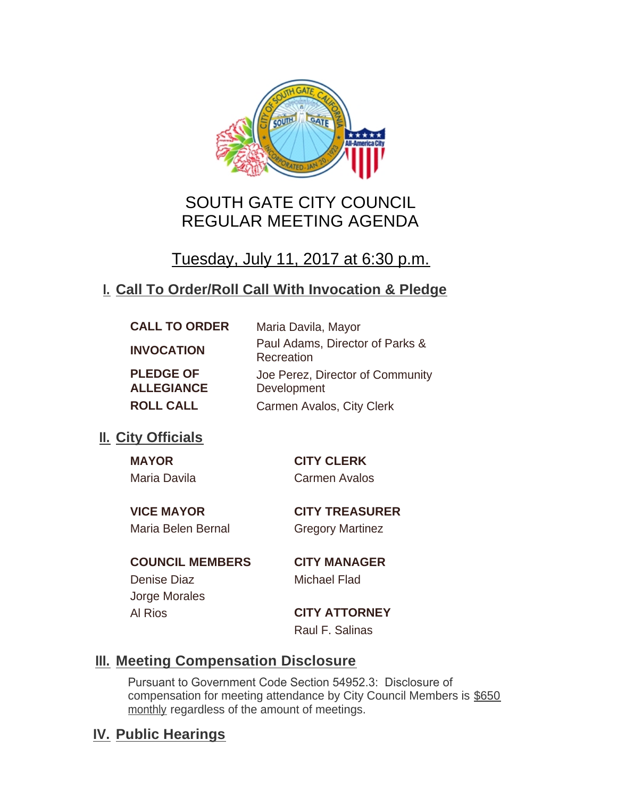

# SOUTH GATE CITY COUNCIL REGULAR MEETING AGENDA

Tuesday, July 11, 2017 at 6:30 p.m.

# **Call To Order/Roll Call With Invocation & Pledge I.**

| <b>CALL TO ORDER</b>                  | Maria Davila, Mayor                             |
|---------------------------------------|-------------------------------------------------|
| <b>INVOCATION</b>                     | Paul Adams, Director of Parks &<br>Recreation   |
| <b>PLEDGE OF</b><br><b>ALLEGIANCE</b> | Joe Perez, Director of Community<br>Development |
| <b>ROLL CALL</b>                      | Carmen Avalos, City Clerk                       |

# **II.** City Officials

| <b>MAYOR</b> | C           |
|--------------|-------------|
| Maria Davila | $C_{\rm i}$ |

**MAYOR CITY CLERK** armen Avalos

**VICE MAYOR CITY TREASURER** Maria Belen Bernal Gregory Martinez

## **COUNCIL MEMBERS CITY MANAGER** Denise Diaz Michael Flad Jorge Morales

Al Rios **CITY ATTORNEY** Raul F. Salinas

# **Meeting Compensation Disclosure III.**

Pursuant to Government Code Section 54952.3: Disclosure of compensation for meeting attendance by City Council Members is \$650 monthly regardless of the amount of meetings.

# **IV. Public Hearings**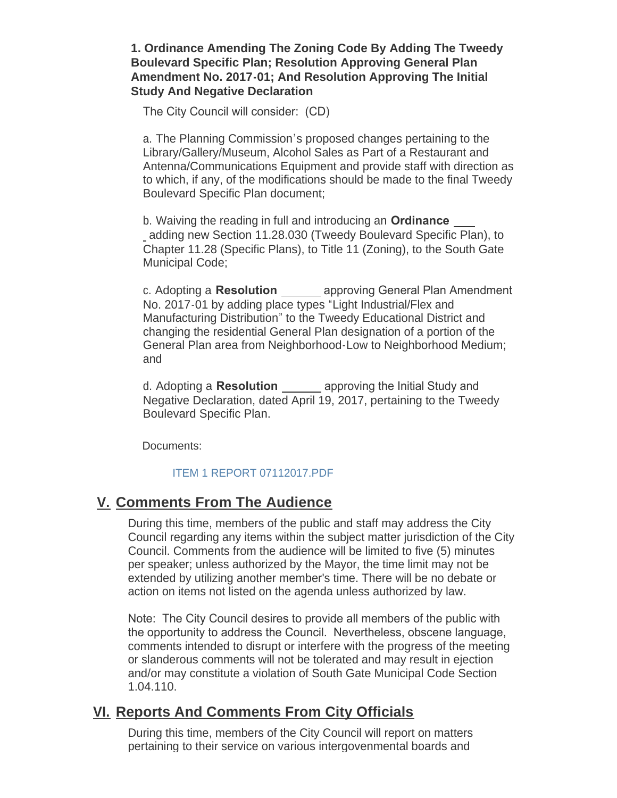## **1. Ordinance Amending The Zoning Code By Adding The Tweedy Boulevard Specific Plan; Resolution Approving General Plan Amendment No. 2017-01; And Resolution Approving The Initial Study And Negative Declaration**

The City Council will consider: (CD)

a. The Planning Commission's proposed changes pertaining to the Library/Gallery/Museum, Alcohol Sales as Part of a Restaurant and Antenna/Communications Equipment and provide staff with direction as to which, if any, of the modifications should be made to the final Tweedy Boulevard Specific Plan document;

b. Waiving the reading in full and introducing an **Ordinance**  adding new Section 11.28.030 (Tweedy Boulevard Specific Plan), to Chapter 11.28 (Specific Plans), to Title 11 (Zoning), to the South Gate Municipal Code;

c. Adopting a **Resolution** \_\_\_\_\_\_ approving General Plan Amendment No. 2017-01 by adding place types "Light Industrial/Flex and Manufacturing Distribution" to the Tweedy Educational District and changing the residential General Plan designation of a portion of the General Plan area from Neighborhood-Low to Neighborhood Medium; and

d. Adopting a **Resolution** <u>endledenear</u> approving the Initial Study and Negative Declaration, dated April 19, 2017, pertaining to the Tweedy Boulevard Specific Plan.

Documents:

## [ITEM 1 REPORT 07112017.PDF](http://cityofsouthgate.org/AgendaCenter/ViewFile/Item/4525?fileID=10292)

## **Comments From The Audience V.**

During this time, members of the public and staff may address the City Council regarding any items within the subject matter jurisdiction of the City Council. Comments from the audience will be limited to five (5) minutes per speaker; unless authorized by the Mayor, the time limit may not be extended by utilizing another member's time. There will be no debate or action on items not listed on the agenda unless authorized by law.

Note: The City Council desires to provide all members of the public with the opportunity to address the Council. Nevertheless, obscene language, comments intended to disrupt or interfere with the progress of the meeting or slanderous comments will not be tolerated and may result in ejection and/or may constitute a violation of South Gate Municipal Code Section 1.04.110.

## **Reports And Comments From City Officials VI.**

During this time, members of the City Council will report on matters pertaining to their service on various intergovenmental boards and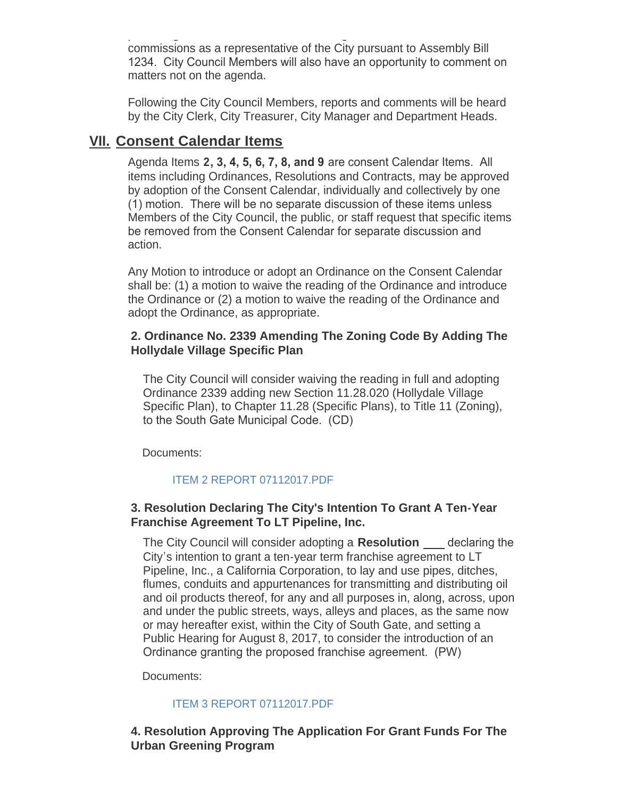pertaining to their service on various intergovenmental boards and commissions as a representative of the City pursuant to Assembly Bill 1234. City Council Members will also have an opportunity to comment on matters not on the agenda.

Following the City Council Members, reports and comments will be heard by the City Clerk, City Treasurer, City Manager and Department Heads.

## **Consent Calendar Items VII.**

Agenda Items **2, 3, 4, 5, 6, 7, 8, and 9** are consent Calendar Items. All items including Ordinances, Resolutions and Contracts, may be approved by adoption of the Consent Calendar, individually and collectively by one (1) motion. There will be no separate discussion of these items unless Members of the City Council, the public, or staff request that specific items be removed from the Consent Calendar for separate discussion and action.

Any Motion to introduce or adopt an Ordinance on the Consent Calendar shall be: (1) a motion to waive the reading of the Ordinance and introduce the Ordinance or (2) a motion to waive the reading of the Ordinance and adopt the Ordinance, as appropriate.

## **2. Ordinance No. 2339 Amending The Zoning Code By Adding The Hollydale Village Specific Plan**

The City Council will consider waiving the reading in full and adopting Ordinance 2339 adding new Section 11.28.020 (Hollydale Village Specific Plan), to Chapter 11.28 (Specific Plans), to Title 11 (Zoning), to the South Gate Municipal Code. (CD)

Documents:

## [ITEM 2 REPORT 07112017.PDF](http://cityofsouthgate.org/AgendaCenter/ViewFile/Item/4503?fileID=10279)

## **3. Resolution Declaring The City's Intention To Grant A Ten-Year Franchise Agreement To LT Pipeline, Inc.**

The City Council will consider adopting a **Resolution**  declaring the City's intention to grant a ten-year term franchise agreement to LT Pipeline, Inc., a California Corporation, to lay and use pipes, ditches, flumes, conduits and appurtenances for transmitting and distributing oil and oil products thereof, for any and all purposes in, along, across, upon and under the public streets, ways, alleys and places, as the same now or may hereafter exist, within the City of South Gate, and setting a Public Hearing for August 8, 2017, to consider the introduction of an Ordinance granting the proposed franchise agreement. (PW)

Documents:

## [ITEM 3 REPORT 07112017.PDF](http://cityofsouthgate.org/AgendaCenter/ViewFile/Item/4504?fileID=10280)

## **4. Resolution Approving The Application For Grant Funds For The Urban Greening Program**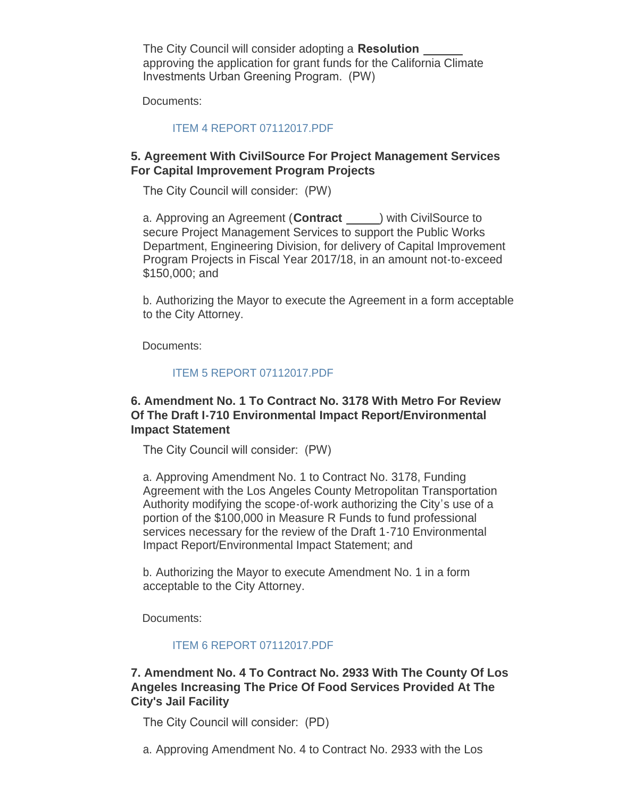The City Council will consider adopting a **Resolution**  approving the application for grant funds for the California Climate Investments Urban Greening Program. (PW)

Documents:

#### [ITEM 4 REPORT 07112017.PDF](http://cityofsouthgate.org/AgendaCenter/ViewFile/Item/4505?fileID=10281)

## **5. Agreement With CivilSource For Project Management Services For Capital Improvement Program Projects**

The City Council will consider: (PW)

a. Approving an Agreement (**Contract** ) with CivilSource to secure Project Management Services to support the Public Works Department, Engineering Division, for delivery of Capital Improvement Program Projects in Fiscal Year 2017/18, in an amount not-to-exceed \$150,000; and

b. Authorizing the Mayor to execute the Agreement in a form acceptable to the City Attorney.

Documents:

## [ITEM 5 REPORT 07112017.PDF](http://cityofsouthgate.org/AgendaCenter/ViewFile/Item/4506?fileID=10282)

### **6. Amendment No. 1 To Contract No. 3178 With Metro For Review Of The Draft I-710 Environmental Impact Report/Environmental Impact Statement**

The City Council will consider: (PW)

a. Approving Amendment No. 1 to Contract No. 3178, Funding Agreement with the Los Angeles County Metropolitan Transportation Authority modifying the scope-of-work authorizing the City's use of a portion of the \$100,000 in Measure R Funds to fund professional services necessary for the review of the Draft 1-710 Environmental Impact Report/Environmental Impact Statement; and

b. Authorizing the Mayor to execute Amendment No. 1 in a form acceptable to the City Attorney.

Documents:

#### [ITEM 6 REPORT 07112017.PDF](http://cityofsouthgate.org/AgendaCenter/ViewFile/Item/4507?fileID=10283)

## **7. Amendment No. 4 To Contract No. 2933 With The County Of Los Angeles Increasing The Price Of Food Services Provided At The City's Jail Facility**

The City Council will consider: (PD)

a. Approving Amendment No. 4 to Contract No. 2933 with the Los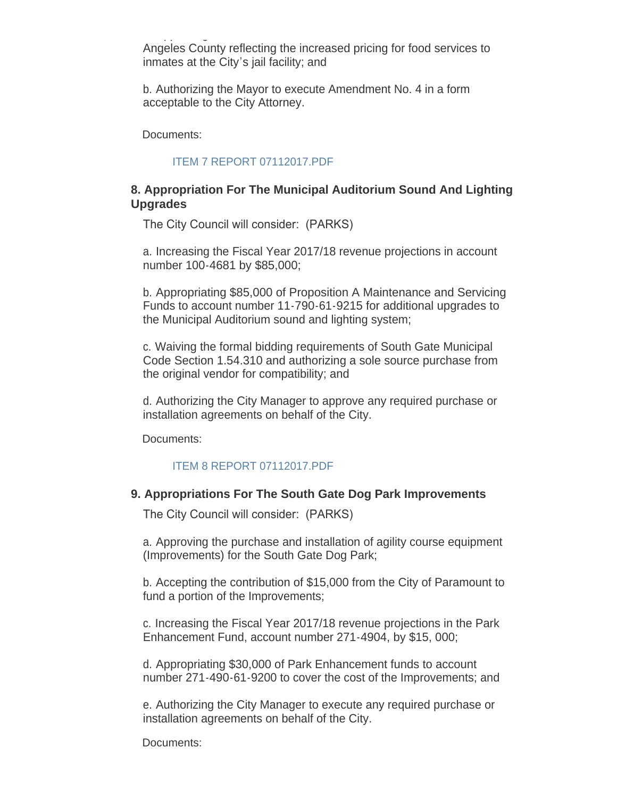a. Approving Amendment No. 4 to Contract No. 2933 with the Los Angeles County reflecting the increased pricing for food services to inmates at the City's jail facility; and

b. Authorizing the Mayor to execute Amendment No. 4 in a form acceptable to the City Attorney.

Documents:

#### [ITEM 7 REPORT 07112017.PDF](http://cityofsouthgate.org/AgendaCenter/ViewFile/Item/4508?fileID=10284)

## **8. Appropriation For The Municipal Auditorium Sound And Lighting Upgrades**

The City Council will consider: (PARKS)

a. Increasing the Fiscal Year 2017/18 revenue projections in account number 100-4681 by \$85,000;

b. Appropriating \$85,000 of Proposition A Maintenance and Servicing Funds to account number 11-790-61-9215 for additional upgrades to the Municipal Auditorium sound and lighting system;

c. Waiving the formal bidding requirements of South Gate Municipal Code Section 1.54.310 and authorizing a sole source purchase from the original vendor for compatibility; and

d. Authorizing the City Manager to approve any required purchase or installation agreements on behalf of the City.

Documents:

## [ITEM 8 REPORT 07112017.PDF](http://cityofsouthgate.org/AgendaCenter/ViewFile/Item/4527?fileID=10293)

#### **9. Appropriations For The South Gate Dog Park Improvements**

The City Council will consider: (PARKS)

a. Approving the purchase and installation of agility course equipment (Improvements) for the South Gate Dog Park;

b. Accepting the contribution of \$15,000 from the City of Paramount to fund a portion of the Improvements;

c. Increasing the Fiscal Year 2017/18 revenue projections in the Park Enhancement Fund, account number 271-4904, by \$15, 000;

d. Appropriating \$30,000 of Park Enhancement funds to account number 271-490-61-9200 to cover the cost of the Improvements; and

e. Authorizing the City Manager to execute any required purchase or installation agreements on behalf of the City.

Documents: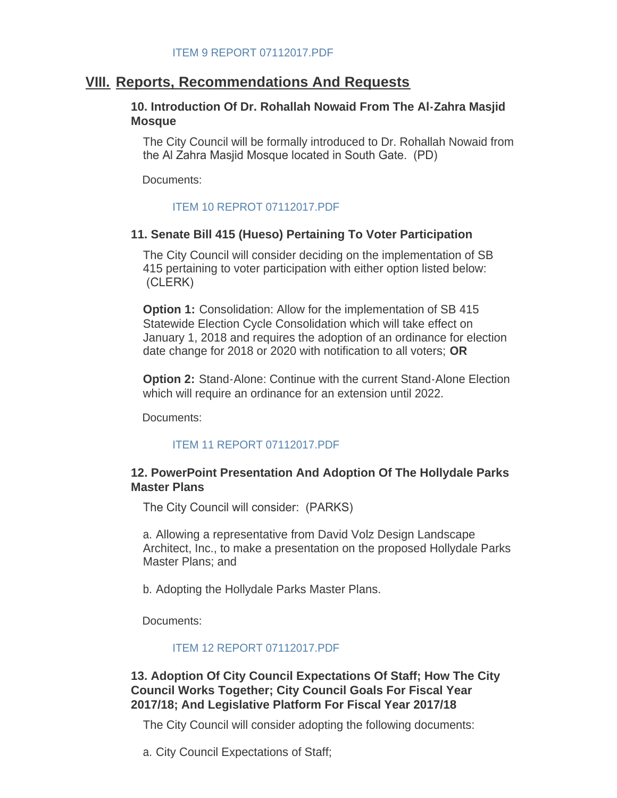## **Reports, Recommendations And Requests VIII.**

### **10. Introduction Of Dr. Rohallah Nowaid From The Al-Zahra Masjid Mosque**

The City Council will be formally introduced to Dr. Rohallah Nowaid from the Al Zahra Masjid Mosque located in South Gate. (PD)

Documents:

#### [ITEM 10 REPROT 07112017.PDF](http://cityofsouthgate.org/AgendaCenter/ViewFile/Item/4510?fileID=10286)

#### **11. Senate Bill 415 (Hueso) Pertaining To Voter Participation**

The City Council will consider deciding on the implementation of SB 415 pertaining to voter participation with either option listed below: (CLERK)

**Option 1:** Consolidation: Allow for the implementation of SB 415 Statewide Election Cycle Consolidation which will take effect on January 1, 2018 and requires the adoption of an ordinance for election date change for 2018 or 2020 with notification to all voters; **OR**

**Option 2: Stand-Alone: Continue with the current Stand-Alone Election** which will require an ordinance for an extension until 2022.

Documents:

#### [ITEM 11 REPORT 07112017.PDF](http://cityofsouthgate.org/AgendaCenter/ViewFile/Item/4511?fileID=10287)

## **12. PowerPoint Presentation And Adoption Of The Hollydale Parks Master Plans**

The City Council will consider: (PARKS)

a. Allowing a representative from David Volz Design Landscape Architect, Inc., to make a presentation on the proposed Hollydale Parks Master Plans; and

b. Adopting the Hollydale Parks Master Plans.

Documents:

#### [ITEM 12 REPORT 07112017.PDF](http://cityofsouthgate.org/AgendaCenter/ViewFile/Item/4512?fileID=10288)

### **13. Adoption Of City Council Expectations Of Staff; How The City Council Works Together; City Council Goals For Fiscal Year 2017/18; And Legislative Platform For Fiscal Year 2017/18**

The City Council will consider adopting the following documents:

a. City Council Expectations of Staff;